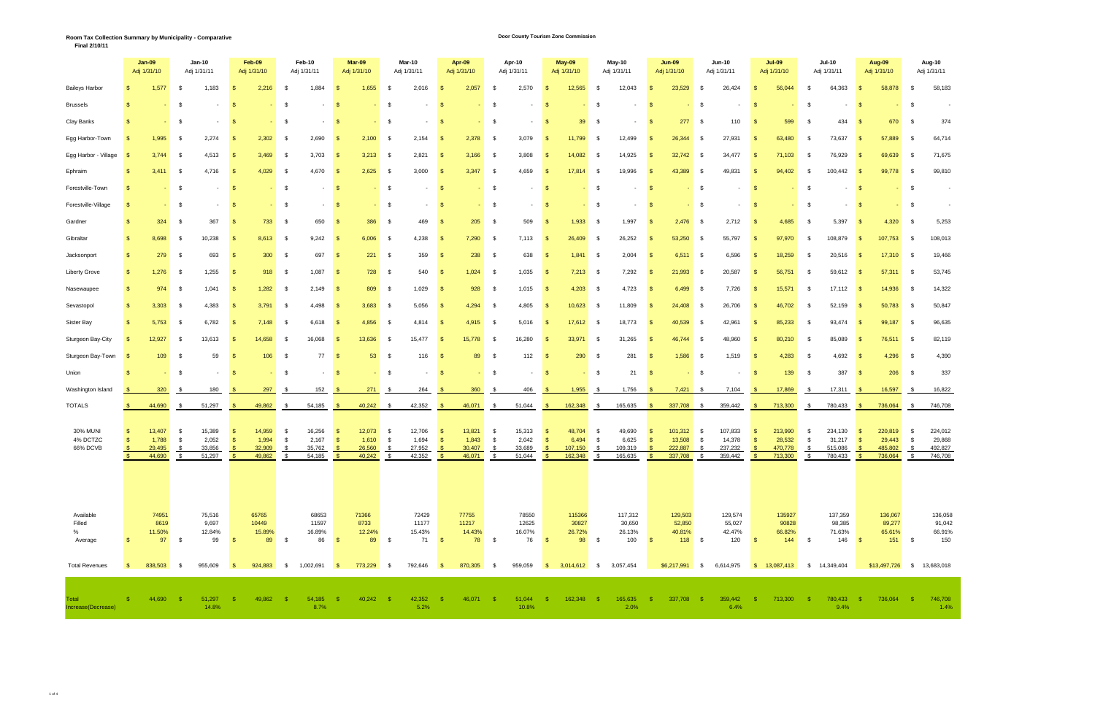### **Door County Tourism Zone Commission**

**Final 2/10/11**

|                                                              |              | $Jan-09$<br>Adj 1/31/10                     |                                  | Jan-10<br>Adj 1/31/11                      |                            | Feb-09<br>Adj 1/31/10                     |                      | Feb-10<br>Adj 1/31/11                       |                               | Mar-09<br>Adj 1/31/10                       |                    | <b>Mar-10</b><br>Adj 1/31/11                         |                                             | Apr-09<br>Adj 1/31/10                        |                      | Apr-10<br>Adj 1/31/11                        |                                     | May-09<br>Adj 1/31/10                                |                             | May-10<br>Adj 1/31/11                                |                                         | $Jun-09$<br>Adj 1/31/10                                    |                           | <b>Jun-10</b><br>Adj 1/31/11                    |                                        | <b>Jul-09</b><br>Adj 1/31/10                   |                  | <b>Jul-10</b><br>Adj 1/31/11                             | Aug-09<br>Adj 1/31/10                                                       |                             | Aug-10<br>Adj 1/31/11                                            |  |
|--------------------------------------------------------------|--------------|---------------------------------------------|----------------------------------|--------------------------------------------|----------------------------|-------------------------------------------|----------------------|---------------------------------------------|-------------------------------|---------------------------------------------|--------------------|------------------------------------------------------|---------------------------------------------|----------------------------------------------|----------------------|----------------------------------------------|-------------------------------------|------------------------------------------------------|-----------------------------|------------------------------------------------------|-----------------------------------------|------------------------------------------------------------|---------------------------|-------------------------------------------------|----------------------------------------|------------------------------------------------|------------------|----------------------------------------------------------|-----------------------------------------------------------------------------|-----------------------------|------------------------------------------------------------------|--|
| <b>Baileys Harbor</b>                                        |              | 1,577                                       | - \$                             | 1,183                                      | - \$                       | 2,216                                     | - S                  | 1,884                                       |                               | 1,655                                       | - \$               | 2,016                                                | -\$                                         | 2,057                                        | - \$                 | 2,570                                        |                                     | 12,565                                               | - \$                        | 12,043                                               | -\$                                     | 23,529                                                     | - \$                      | 26,424                                          | - \$                                   | 56,044                                         | - \$             | 64,363                                                   | 58,878<br>- \$                                                              | - \$                        | 58,183                                                           |  |
| <b>Brussels</b>                                              | \$           |                                             | <b>S</b>                         |                                            | $\sqrt{S}$                 |                                           | - \$                 | $-5$                                        |                               |                                             | \$                 | $\sim$                                               | $\sqrt{S}$                                  |                                              | \$                   | $\sim$                                       | <b>S</b>                            |                                                      | $\mathfrak s$               |                                                      | $\sqrt{S}$                              |                                                            | - \$                      |                                                 | - \$                                   |                                                | \$               |                                                          | $\sqrt{S}$                                                                  | \$                          |                                                                  |  |
| Clay Banks                                                   |              |                                             | - \$                             |                                            | <b>S</b>                   |                                           | - \$                 | $-5$                                        |                               |                                             | \$                 | $\sim$                                               | $\sqrt{S}$                                  |                                              | \$                   |                                              | - \$                                | 39                                                   | \$                          |                                                      | <b>S</b>                                | 277                                                        | - \$                      | 110                                             | <b>S</b>                               | 599                                            | \$               | 434                                                      | 670<br>5                                                                    | - \$                        | 374                                                              |  |
| Egg Harbor-Town                                              |              | 1,995                                       | - \$                             | 2,274                                      | <b>S</b>                   | 2,302                                     | \$                   | 2,690                                       | $\mathbf{s}$                  | 2,100                                       | \$                 | 2,154                                                | $\sqrt{3}$                                  | 2,378                                        | $\mathbb{S}$         | 3,079                                        | <b>S</b>                            | 11,799                                               | - \$                        | 12,499                                               | 8                                       | 26,344                                                     | - \$                      | 27,931                                          | S                                      | 63,480                                         | - \$             | 73,637                                                   | 57,889<br><b>S</b>                                                          | - \$                        | 64,714                                                           |  |
| Egg Harbor - Village                                         |              | 3,744                                       | - \$                             | 4,513                                      | $\sqrt{3}$                 | 3,469                                     | - \$                 | 3,703                                       | $\sqrt{S}$                    | 3,213                                       | \$                 | 2,821                                                | $\sqrt{3}$                                  | 3,166                                        | \$                   | 3,808                                        | <b>\$</b>                           | 14,082                                               | - \$                        | 14,925                                               | -\$                                     | 32,742                                                     | - \$                      | 34,477                                          | $\sqrt{3}$                             | 71,103                                         | - \$             | 76,929                                                   | 69,639<br>$\sqrt{s}$                                                        | \$                          | 71,675                                                           |  |
| Ephraim                                                      |              | 3,411                                       | - \$                             | 4,716                                      | - \$                       | 4,029                                     | - \$                 | 4,670                                       | $\sqrt{S}$                    | 2,625                                       | \$                 | 3,000                                                | - \$                                        | 3,347                                        | \$                   | 4,659                                        | - \$                                | 17,814                                               | - \$                        | 19,996                                               | - \$                                    | 43,389                                                     | - \$                      | 49,831                                          | <b>S</b>                               | 94,402                                         | - \$             | 100,442                                                  | 99,778<br>$\sqrt{s}$                                                        | \$                          | 99,810                                                           |  |
| Forestville-Town                                             |              | $\sim$                                      | - \$                             | $\sim$                                     | $\sqrt{3}$                 | $\sim$ 10 $\pm$                           | - \$                 | $-5$                                        |                               | <b>Section</b>                              | \$                 | $\sim$                                               | $\sqrt{S}$                                  | <b>Service</b>                               | \$                   | $\sim$                                       | $\sqrt{3}$                          |                                                      | $-$ \$                      | $\sim$                                               | $\sqrt{3}$                              | <b>Contract</b>                                            | \$                        |                                                 | <b>S</b>                               |                                                | \$               | $\sim$                                                   | $\sqrt{S}$                                                                  | \$<br><b>Service</b>        |                                                                  |  |
| Forestville-Village                                          |              | $\sim 100$                                  | $\mathfrak s$                    | $\sim$                                     | $\sqrt{S}$                 |                                           | $-5$                 |                                             |                               | $\sim 10$                                   | $\mathfrak s$      | $\sim$                                               | $\sqrt{3}$                                  |                                              | $-$ \$               | $\sim$                                       | $\sqrt{3}$                          |                                                      | $-$ \$                      | $\sim$                                               | $\sqrt{S}$                              |                                                            | $-$ \$                    |                                                 | $\mathbf{s}$                           |                                                | - \$             | $\sim$                                                   | $\sqrt{S}$                                                                  | \$                          |                                                                  |  |
| Gardner                                                      |              | 324                                         | - \$                             | 367                                        | $\sqrt{3}$                 | 733                                       | $\mathsf{S}$         | 650                                         | $\sqrt{S}$                    | 386                                         | \$                 | 469                                                  | $\sqrt{3}$                                  | 205                                          | $\mathfrak s$        | 509                                          | $\sqrt{S}$                          | $1,933$ \$                                           |                             | 1,997                                                | $\mathbf{s}$                            | 2,476                                                      | $\mathfrak s$             | 2,712                                           | <b>S</b>                               | 4,685                                          | - \$             | 5,397                                                    | 4,320<br>$\sqrt{S}$                                                         | \$                          | 5,253                                                            |  |
| Gibraltar                                                    |              | 8,698                                       | - \$                             | 10,238                                     | - \$                       | 8,613 \$                                  |                      | 9,242                                       | <b>S</b>                      | 6,006                                       | \$                 | 4,238                                                | $\sqrt{3}$                                  | 7,290                                        | \$                   | 7,113                                        | - \$                                | 26,409                                               | $\mathfrak s$               | 26,252                                               | - \$                                    | 53,250                                                     | \$                        | 55,797                                          | $\sqrt{S}$                             | 97,970                                         | - \$             | 108,879                                                  | 107,753<br>$\sqrt{3}$                                                       | \$                          | 108,013                                                          |  |
| Jacksonport                                                  |              | 279                                         | - \$                             | 693                                        | - \$                       | 300                                       | $\mathfrak s$        | 697                                         | $\sqrt{S}$                    | 221                                         | \$                 | 359                                                  | $\sqrt{3}$                                  | 238                                          | \$                   | 638                                          | 8                                   | $1,841$ \$                                           |                             | 2,004                                                | <b>S</b>                                | 6,511                                                      | \$                        | 6,596                                           | <b>S</b>                               | 18,259                                         | - \$             | 20,516                                                   | 17,310<br><b>S</b>                                                          | - \$                        | 19,466                                                           |  |
| <b>Liberty Grove</b>                                         |              | 1,276                                       | - \$                             | 1,255                                      | - \$                       | 918                                       | $^{\circ}$           | 1,087                                       | $\sqrt{S}$                    | 728                                         | \$                 | 540                                                  | <b>S</b>                                    | 1,024                                        | $\mathbb{S}$         | 1,035                                        | - \$                                | $7,213$ \$                                           |                             | 7,292                                                | - \$                                    | 21,993                                                     | - \$                      | 20,587                                          | 8                                      | 56,751                                         | - \$             | 59,612                                                   | 57,311<br><b>S</b>                                                          | \$                          | 53,745                                                           |  |
| Nasewaupee                                                   |              | 974                                         | - \$                             | 1,041                                      | $\sqrt{3}$                 | 1,282                                     | - \$                 | 2,149                                       | $\sqrt{S}$                    | 809                                         | - \$               | 1,029                                                | <b>S</b>                                    | 928                                          | \$                   | 1,015                                        | - \$                                | $4,203$ \$                                           |                             | 4,723                                                | - \$                                    | 6,499                                                      | - \$                      | 7,726                                           | <b>S</b>                               | 15,571                                         | - \$             | 17,112                                                   | 14,936<br><b>S</b>                                                          | - \$                        | 14,322                                                           |  |
| Sevastopol                                                   |              | 3,303                                       | - \$                             | 4,383                                      | - \$                       | 3,791                                     | $\mathsf{S}$         | 4,498                                       | $\sqrt{S}$                    | 3,683                                       | \$                 | 5,056                                                | - \$                                        | 4,294                                        | $\mathbb{S}$         | 4,805                                        | <b>\$</b>                           | 10,623                                               | $\mathfrak s$               | 11,809                                               | $\mathbf{s}$                            | 24,408                                                     | - \$                      | 26,706                                          | $\sqrt{3}$                             | 46,702                                         | - \$             | 52,159                                                   | 50,783<br><b>\$</b>                                                         | \$                          | 50,847                                                           |  |
| Sister Bay                                                   |              | 5,753                                       | - \$                             | 6,782                                      | - \$                       | 7,148                                     | - \$                 | 6,618                                       | <b>S</b>                      | 4,856                                       | - \$               | 4,814                                                | <b>S</b>                                    | 4,915                                        | \$                   | 5,016                                        | <b>\$</b>                           | 17,612                                               | - \$                        | 18,773                                               | - \$                                    | 40,539                                                     | - \$                      | 42,961                                          | $\sqrt{3}$                             | 85,233                                         | - \$             | 93,474                                                   | 99,187<br><b>\$</b>                                                         | \$                          | 96,635                                                           |  |
| Sturgeon Bay-City                                            |              | 12,927                                      | - \$                             | 13,613                                     | $\sqrt{3}$                 | 14,658                                    | \$                   | 16,068                                      | <b>S</b>                      | 13,636                                      | \$                 | 15,477                                               | $\sqrt{S}$                                  | 15,778                                       | $\mathbb{S}$         | 16,280                                       | $\sqrt{3}$                          | 33,971 \$                                            |                             | 31,265                                               | $\mathbf{s}$                            | 46,744                                                     | - \$                      | 48,960                                          | <b>S</b>                               | 80,210                                         | - \$             | 85,089                                                   | 76,511<br>$\mathbf{s}$                                                      | \$                          | 82,119                                                           |  |
| Sturgeon Bay-Town                                            |              | 109                                         | - \$                             | 59                                         | - \$                       | 106                                       | \$                   | 77                                          | $\sqrt{3}$                    | 53                                          | \$                 | 116                                                  | $\sqrt{S}$                                  | 89                                           | - \$                 | 112                                          | <b>\$</b>                           | 290                                                  | \$                          | 281                                                  | -\$                                     | 1,586                                                      | - \$                      | 1,519                                           | <b>S</b>                               | 4,283                                          | - \$             | 4,692                                                    | 4,296<br>$\mathbf{s}$                                                       | - \$                        | 4,390                                                            |  |
| Union                                                        |              | $\omega_{\rm{eff}}$                         | \$                               |                                            | $\sqrt{S}$                 |                                           | - \$                 | $-5$                                        |                               |                                             | $-$ \$             | $\sim$                                               | $\sqrt{S}$                                  |                                              | $-$ \$               | $\sim$                                       | $\sqrt{S}$                          |                                                      | $-$ \$                      | 21                                                   | $\sqrt{S}$                              |                                                            | \$                        |                                                 | $\mathbf{s}$                           | 139                                            | - \$             | 387                                                      | 206<br>$\sqrt{S}$                                                           | \$                          | 337                                                              |  |
| Washington Island                                            |              | 320                                         | - \$                             | 180                                        | <b>S</b>                   | 297                                       | \$                   | 152                                         | $\sqrt{S}$                    | 271                                         | \$                 | 264                                                  | - \$                                        | 360                                          | $\sqrt{\frac{2}{3}}$ | 406                                          | <b>S</b>                            | 1,955                                                | - \$                        | 1,756                                                | <b>S</b>                                | 7,421                                                      | \$                        | 7,104                                           | $\sqrt{3}$                             | 17,869                                         | - \$             | 17,311                                                   | 16,597<br><b>S</b>                                                          | \$                          | 16,822                                                           |  |
| <b>TOTALS</b>                                                |              | 44,690                                      | \$                               | 51,297                                     | $\sqrt{3}$                 | 49,862                                    | \$                   | 54,185                                      | $\sqrt{S}$                    | 40,242                                      | $\mathfrak s$      | 42,352                                               | - \$                                        | 46,071                                       | $\sqrt{s}$           | 51,044                                       | $\sqrt{5}$                          | 162,348                                              | \$                          | 165,635                                              | $\sqrt{S}$                              | 337,708 \$                                                 |                           | 359,442                                         | - \$                                   | 713,300                                        | \$               | 780,433                                                  | 736,064<br><b>\$</b>                                                        | \$                          | 746,708                                                          |  |
| 30% MUN<br>4% DCTZC<br>66% DCVB                              | $\mathbb{S}$ | 13,407<br>1,788<br>29,495<br>44.690         | - \$<br>- \$<br>- \$<br><b>S</b> | 15,389<br>2,052<br>33,856<br>51.297 \$     | - \$<br>- \$<br>$\sqrt{3}$ | 14,959<br>1,994<br>32,909<br>49.862 \$    | - \$<br>- \$<br>- \$ | 16,256<br>2,167<br>35,762<br>54.185 \$      | 8<br>$\sqrt{3}$<br>$\sqrt{S}$ | 12,073<br>1,610<br>26,560<br>40.242 \$      | \$<br>- \$<br>- \$ | 12,706<br>1,694<br>27,952<br>42.352                  | $\sqrt{3}$<br>$\sqrt{3}$<br>$\sqrt{3}$<br>S | 13,821<br>1,843<br>30,407 \$<br>46.071 \$    | - \$<br>- \$         | 15,313<br>2,042<br>33,689<br>$51.044$ \$     | <b>\$</b><br><b>S</b><br>$\sqrt{3}$ | 48,704<br>6,494<br>107,150<br>162.348 \$             | - \$<br>$\mathbf{\$}$<br>\$ | 49,690<br>6,625<br>109,319<br>165.635                | - \$<br>- \$<br>$\mathbf{\hat{s}}$<br>S | 101,312<br>13,508<br>222,887<br>337.708 \$                 | \$<br>\$<br>$\mathfrak s$ | 107,833<br>14,378<br>237,232<br>$359.442$ \$    | $\sqrt{3}$<br>$\sqrt{3}$<br>$\sqrt{3}$ | 213,990<br>28,532<br>470,778<br>713.300 \$     | \$<br>\$<br>- \$ | 234,130<br>31,217<br>515,086<br>780.433 \$               | 220,819<br>5<br>$\sqrt{3}$<br>29,443<br>485,802<br>$\sqrt{3}$<br>736.064 \$ | - \$<br>\$<br>$\mathfrak s$ | 224,012<br>29,868<br>492,827<br>746.708                          |  |
| Available<br>Filled<br>%<br>Average<br><b>Total Revenues</b> |              | 74951<br>8619<br>11.50%<br>97 \$<br>838,503 | - \$                             | 75,516<br>9,697<br>12.84%<br>99<br>955,609 | $\sqrt{3}$<br><b>S</b>     | 65765<br>10449<br>15.89%<br>89<br>924,883 | - \$<br>$^{\circ}$   | 68653<br>11597<br>16.89%<br>86<br>1,002,691 | $\mathbf{s}$<br>$\mathbb{S}$  | 71366<br>8733<br>12.24%<br>89<br>773,229 \$ | $\mathfrak s$      | 72429<br>11177<br>15.43%<br>$71 \quad$ \$<br>792,646 | <b>S</b>                                    | 77755<br>11217<br>14.43%<br>78 \$<br>870,305 | <b>S</b>             | 78550<br>12625<br>16.07%<br>76 \$<br>959,059 | <b>S</b>                            | 115366<br>30827<br>26.72%<br>98 \$<br>$3,014,612$ \$ |                             | 117,312<br>30,650<br>26.13%<br>$100$ \$<br>3,057,454 |                                         | 129,503<br>52,850<br>40.81%<br>$118$ \$<br>$$6,217,991$ \$ |                           | 129,574<br>55,027<br>42.47%<br>120<br>6,614,975 | <b>S</b><br><b>S</b>                   | 135927<br>90828<br>66.82%<br>144<br>13,087,413 | $\mathfrak s$    | 137,359<br>98,385<br>71.63%<br>$146$ \$<br>\$ 14,349,404 | 136,067<br>89,277<br>65.61%                                                 | $151$ \$                    | 136,058<br>91,042<br>66.91%<br>150<br>\$13,497,726 \$ 13,683,018 |  |
| Total<br>Increase(Decrease)                                  | -\$          | 44,690 \$                                   |                                  | 51,297<br>14.8%                            | - \$                       | 49,862                                    | - \$                 | 54,185<br>8.7%                              |                               | $40,242$ \$                                 |                    | 42,352<br>5.2%                                       | - \$                                        | 46,071 \$                                    |                      | 51,044<br>10.8%                              |                                     | 162,348                                              | - \$                        | 165,635<br>2.0%                                      | - \$                                    | 337,708                                                    |                           | 359,442<br>6.4%                                 |                                        | 713,300                                        |                  | 780,433<br>9.4%                                          | - \$<br>736,064 \$                                                          |                             | 746,708<br>1.4%                                                  |  |

## **Room Tax Collection Summary by Municipality - Comparative**